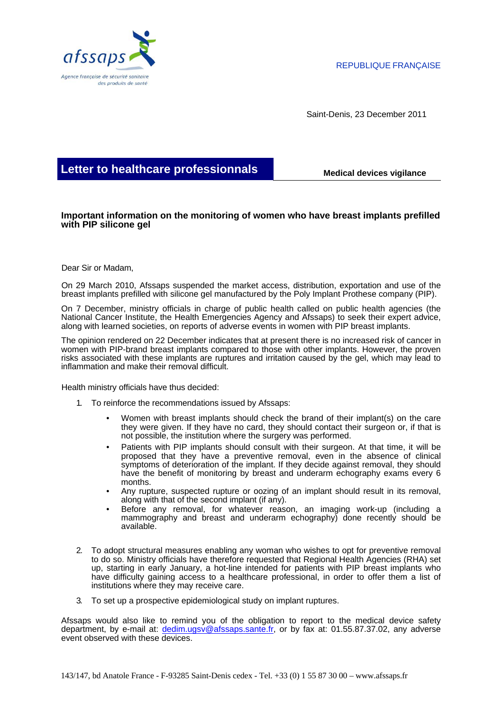

Saint-Denis, 23 December 2011

## **Letter to healthcare professionnals Medical devices vigilance**

## **Important information on the monitoring of women who have breast implants prefilled with PIP silicone gel**

## Dear Sir or Madam,

On 29 March 2010, Afssaps suspended the market access, distribution, exportation and use of the breast implants prefilled with silicone gel manufactured by the Poly Implant Prothese company (PIP).

On 7 December, ministry officials in charge of public health called on public health agencies (the National Cancer Institute, the Health Emergencies Agency and Afssaps) to seek their expert advice, along with learned societies, on reports of adverse events in women with PIP breast implants.

The opinion rendered on 22 December indicates that at present there is no increased risk of cancer in women with PIP-brand breast implants compared to those with other implants. However, the proven risks associated with these implants are ruptures and irritation caused by the gel, which may lead to inflammation and make their removal difficult.

Health ministry officials have thus decided:

- 1. To reinforce the recommendations issued by Afssaps:
	- Women with breast implants should check the brand of their implant(s) on the care they were given. If they have no card, they should contact their surgeon or, if that is not possible, the institution where the surgery was performed.
	- Patients with PIP implants should consult with their surgeon. At that time, it will be proposed that they have a preventive removal, even in the absence of clinical symptoms of deterioration of the implant. If they decide against removal, they should have the benefit of monitoring by breast and underarm echography exams every 6 months.
	- Any rupture, suspected rupture or oozing of an implant should result in its removal, along with that of the second implant (if any).
	- Before any removal, for whatever reason, an imaging work-up (including a mammography and breast and underarm echography) done recently should be available.
- 2. To adopt structural measures enabling any woman who wishes to opt for preventive removal to do so. Ministry officials have therefore requested that Regional Health Agencies (RHA) set up, starting in early January, a hot-line intended for patients with PIP breast implants who have difficulty gaining access to a healthcare professional, in order to offer them a list of institutions where they may receive care.
- 3. To set up a prospective epidemiological study on implant ruptures.

Afssaps would also like to remind you of the obligation to report to the medical device safety department, by e-mail at: dedim.ugsv@afssaps.sante.fr, or by fax at: 01.55.87.37.02, any adverse event observed with these devices.